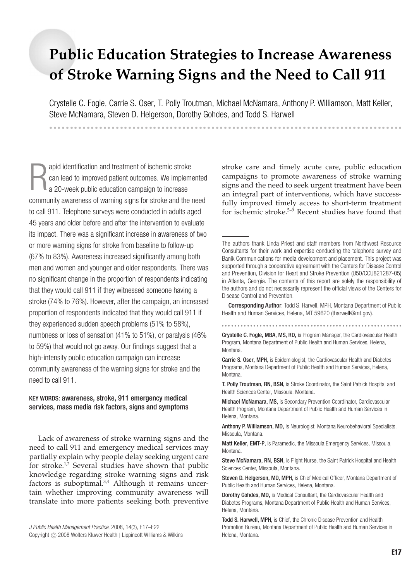# **Public Education Strategies to Increase Awareness of Stroke Warning Signs and the Need to Call 911**

Crystelle C. Fogle, Carrie S. Oser, T. Polly Troutman, Michael McNamara, Anthony P. Williamson, Matt Keller, Steve McNamara, Steven D. Helgerson, Dorothy Gohdes, and Todd S. Harwell

apid identification and treatment of ischemic stroke<br>
can lead to improved patient outcomes. We implemented<br>
a 20-week public education campaign to increase<br>
community awareness of warning signs for stroke and the need apid identification and treatment of ischemic stroke can lead to improved patient outcomes. We implemented a 20-week public education campaign to increase to call 911. Telephone surveys were conducted in adults aged 45 years and older before and after the intervention to evaluate its impact. There was a significant increase in awareness of two or more warning signs for stroke from baseline to follow-up (67% to 83%). Awareness increased significantly among both men and women and younger and older respondents. There was no significant change in the proportion of respondents indicating that they would call 911 if they witnessed someone having a stroke (74% to 76%). However, after the campaign, an increased proportion of respondents indicated that they would call 911 if they experienced sudden speech problems (51% to 58%), numbness or loss of sensation (41% to 51%), or paralysis (46% to 59%) that would not go away. Our findings suggest that a high-intensity public education campaign can increase community awareness of the warning signs for stroke and the need to call 911.

-------------------------------------------------------------------------------------

## KEY WORDS: awareness, stroke, 911 emergency medical services, mass media risk factors, signs and symptoms

Lack of awareness of stroke warning signs and the need to call 911 and emergency medical services may partially explain why people delay seeking urgent care for stroke.<sup>1,2</sup> Several studies have shown that public knowledge regarding stroke warning signs and risk factors is suboptimal. $3,4$  Although it remains uncertain whether improving community awareness will translate into more patients seeking both preventive

*J Public Health Management Practice*, 2008, 14(3), E17–E22 Copyright © 2008 Wolters Kluwer Health | Lippincott Williams & Wilkins stroke care and timely acute care, public education campaigns to promote awareness of stroke warning signs and the need to seek urgent treatment have been an integral part of interventions, which have successfully improved timely access to short-term treatment for ischemic stroke.5–9 Recent studies have found that

Corresponding Author: Todd S. Harvell, MPH, Montana Department of Public Health and Human Services, Helena, MT 59620 (tharwell@mt.gov).

 Crystelle C. Fogle, MBA, MS, RD, is Program Manager, the Cardiovascular Health Program, Montana Department of Public Health and Human Services, Helena, Montana.

Carrie S. Oser, MPH, is Epidemiologist, the Cardiovascular Health and Diabetes Programs, Montana Department of Public Health and Human Services, Helena, Montana.

T. Polly Troutman, RN, BSN, is Stroke Coordinator, the Saint Patrick Hospital and Health Sciences Center, Missoula, Montana.

Michael McNamara, MS, is Secondary Prevention Coordinator, Cardiovascular Health Program, Montana Department of Public Health and Human Services in Helena, Montana.

Anthony P. Williamson, MD, is Neurologist, Montana Neurobehavioral Specialists, Missoula, Montana.

Matt Keller, EMT-P, is Paramedic, the Missoula Emergency Services, Missoula, Montana.

Steve McNamara, RN, BSN, is Flight Nurse, the Saint Patrick Hospital and Health Sciences Center, Missoula, Montana.

Steven D. Helgerson, MD, MPH, is Chief Medical Officer, Montana Department of Public Health and Human Services, Helena, Montana.

Dorothy Gohdes, MD, is Medical Consultant, the Cardiovascular Health and Diabetes Programs, Montana Department of Public Health and Human Services, Helena, Montana.

Todd S. Harwell, MPH, is Chief, the Chronic Disease Prevention and Health Promotion Bureau, Montana Department of Public Health and Human Services in Helena, Montana.

The authors thank Linda Priest and staff members from Northwest Resource Consultants for their work and expertise conducting the telephone survey and Banik Communications for media development and placement. This project was supported through a cooperative agreement with the Centers for Disease Control and Prevention, Division for Heart and Stroke Prevention (U50/CCU821287-05) in Atlanta, Georgia. The contents of this report are solely the responsibility of the authors and do not necessarily represent the official views of the Centers for Disease Control and Prevention.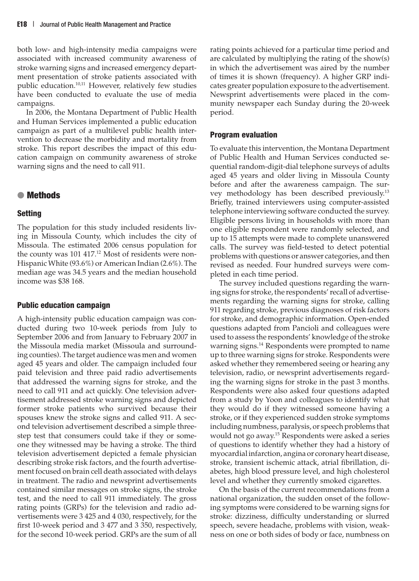both low- and high-intensity media campaigns were associated with increased community awareness of stroke warning signs and increased emergency department presentation of stroke patients associated with public education.<sup>10,11</sup> However, relatively few studies have been conducted to evaluate the use of media campaigns.

In 2006, the Montana Department of Public Health and Human Services implemented a public education campaign as part of a multilevel public health intervention to decrease the morbidity and mortality from stroke. This report describes the impact of this education campaign on community awareness of stroke warning signs and the need to call 911.

## ● **Methods**

#### **Setting**

The population for this study included residents living in Missoula County, which includes the city of Missoula. The estimated 2006 census population for the county was 101 417.<sup>12</sup> Most of residents were non-Hispanic White (93.6%) or American Indian (2.6%). The median age was 34.5 years and the median household income was \$38 168.

#### **Public education campaign**

A high-intensity public education campaign was conducted during two 10-week periods from July to September 2006 and from January to February 2007 in the Missoula media market (Missoula and surrounding counties). The target audience was men and women aged 45 years and older. The campaign included four paid television and three paid radio advertisements that addressed the warning signs for stroke, and the need to call 911 and act quickly. One television advertisement addressed stroke warning signs and depicted former stroke patients who survived because their spouses knew the stroke signs and called 911. A second television advertisement described a simple threestep test that consumers could take if they or someone they witnessed may be having a stroke. The third television advertisement depicted a female physician describing stroke risk factors, and the fourth advertisement focused on brain cell death associated with delays in treatment. The radio and newsprint advertisements contained similar messages on stroke signs, the stroke test, and the need to call 911 immediately. The gross rating points (GRPs) for the television and radio advertisements were 3 425 and 4 030, respectively, for the first 10-week period and 3 477 and 3 350, respectively, for the second 10-week period. GRPs are the sum of all

rating points achieved for a particular time period and are calculated by multiplying the rating of the show(s) in which the advertisement was aired by the number of times it is shown (frequency). A higher GRP indicates greater population exposure to the advertisement. Newsprint advertisements were placed in the community newspaper each Sunday during the 20-week period.

#### **Program evaluation**

To evaluate this intervention, the Montana Department of Public Health and Human Services conducted sequential random-digit-dial telephone surveys of adults aged 45 years and older living in Missoula County before and after the awareness campaign. The survey methodology has been described previously.13 Briefly, trained interviewers using computer-assisted telephone interviewing software conducted the survey. Eligible persons living in households with more than one eligible respondent were randomly selected, and up to 15 attempts were made to complete unanswered calls. The survey was field-tested to detect potential problems with questions or answer categories, and then revised as needed. Four hundred surveys were completed in each time period.

The survey included questions regarding the warning signs for stroke, the respondents' recall of advertisements regarding the warning signs for stroke, calling 911 regarding stroke, previous diagnoses of risk factors for stroke, and demographic information. Open-ended questions adapted from Pancioli and colleagues were used to assess the respondents' knowledge of the stroke warning signs.14 Respondents were prompted to name up to three warning signs for stroke. Respondents were asked whether they remembered seeing or hearing any television, radio, or newsprint advertisements regarding the warning signs for stroke in the past 3 months. Respondents were also asked four questions adapted from a study by Yoon and colleagues to identify what they would do if they witnessed someone having a stroke, or if they experienced sudden stroke symptoms including numbness, paralysis, or speech problems that would not go away.15 Respondents were asked a series of questions to identify whether they had a history of myocardial infarction, angina or coronary heart disease, stroke, transient ischemic attack, atrial fibrillation, diabetes, high blood pressure level, and high cholesterol level and whether they currently smoked cigarettes.

On the basis of the current recommendations from a national organization, the sudden onset of the following symptoms were considered to be warning signs for stroke: dizziness, difficulty understanding or slurred speech, severe headache, problems with vision, weakness on one or both sides of body or face, numbness on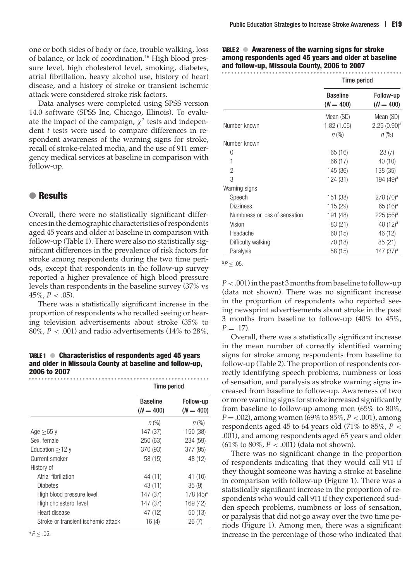one or both sides of body or face, trouble walking, loss of balance, or lack of coordination.<sup>16</sup> High blood pressure level, high cholesterol level, smoking, diabetes, atrial fibrillation, heavy alcohol use, history of heart disease, and a history of stroke or transient ischemic attack were considered stroke risk factors.

Data analyses were completed using SPSS version 14.0 software (SPSS Inc, Chicago, Illinois). To evaluate the impact of the campaign,  $\chi^2$  tests and independent *t* tests were used to compare differences in respondent awareness of the warning signs for stroke, recall of stroke-related media, and the use of 911 emergency medical services at baseline in comparison with follow-up.

# ● **Results**

Overall, there were no statistically significant differences in the demographic characteristics of respondents aged 45 years and older at baseline in comparison with follow-up (Table 1). There were also no statistically significant differences in the prevalence of risk factors for stroke among respondents during the two time periods, except that respondents in the follow-up survey reported a higher prevalence of high blood pressure levels than respondents in the baseline survey (37% vs  $45\%, P < .05$ ).

There was a statistically significant increase in the proportion of respondents who recalled seeing or hearing television advertisements about stroke (35% to 80%,  $P < .001$ ) and radio advertisements (14% to 28%,

TABLE 1 ● **Characteristics of respondents aged 45 years and older in Missoula County at baseline and follow-up, 2006 to 2007**

|                                     | Time period                    |                          |
|-------------------------------------|--------------------------------|--------------------------|
|                                     | <b>Baseline</b><br>$(N = 400)$ | Follow-up<br>$(N = 400)$ |
|                                     | $n (\%)$                       | $n (\%)$                 |
| Age $>65$ y                         | 147 (37)                       | 150 (38)                 |
| Sex, female                         | 250 (63)                       | 234 (59)                 |
| Education $>12$ y                   | 370 (93)                       | 377 (95)                 |
| Current smoker                      | 58 (15)                        | 48 (12)                  |
| History of                          |                                |                          |
| Atrial fibrillation                 | 44 (11)                        | 41 (10)                  |
| <b>Diabetes</b>                     | 43 (11)                        | 35(9)                    |
| High blood pressure level           | 147 (37)                       | $178(45)^a$              |
| High cholesterol level              | 147 (37)                       | 169 (42)                 |
| Heart disease                       | 47 (12)                        | 50 (13)                  |
| Stroke or transient ischemic attack | 16(4)                          | 26(7)                    |

TABLE 2 ● **Awareness of the warning signs for stroke among respondents aged 45 years and older at baseline and follow-up, Missoula County, 2006 to 2007**

|                               | <b>Time period</b>             |                          |
|-------------------------------|--------------------------------|--------------------------|
|                               | <b>Baseline</b><br>$(N = 400)$ | Follow-up<br>$(N = 400)$ |
|                               | Mean (SD)                      | Mean (SD)                |
| Number known                  | 1.82(1.05)                     | 2.25(0.90) <sup>a</sup>  |
|                               | $n (\%)$                       | $n (\%)$                 |
| Number known                  |                                |                          |
| 0                             | 65 (16)                        | 28(7)                    |
| 1                             | 66 (17)                        | 40 (10)                  |
| 2                             | 145 (36)                       | 138 (35)                 |
| 3                             | 124 (31)                       | 194 (49) <sup>a</sup>    |
| Warning signs                 |                                |                          |
| Speech                        | 151 (38)                       | $278(70)^a$              |
| <b>Dizziness</b>              | 115 (29)                       | $65(16)^a$               |
| Numbness or loss of sensation | 191 (48)                       | $225(56)^a$              |
| Vision                        | 83 (21)                        | 48 (12) <sup>a</sup>     |
| Headache                      | 60 (15)                        | 46 (12)                  |
| Difficulty walking            | 70 (18)                        | 85 (21)                  |
| Paralysis                     | 58 (15)                        | 147 (37) <sup>a</sup>    |

 ${}^{a}P$  < .05.

*P*<.001) in the past 3 months from baseline to follow-up (data not shown). There was no significant increase in the proportion of respondents who reported seeing newsprint advertisements about stroke in the past 3 months from baseline to follow-up (40% to 45%,  $P = .17$ ).

Overall, there was a statistically significant increase in the mean number of correctly identified warning signs for stroke among respondents from baseline to follow-up (Table 2). The proportion of respondents correctly identifying speech problems, numbness or loss of sensation, and paralysis as stroke warning signs increased from baseline to follow-up. Awareness of two or more warning signs for stroke increased significantly from baseline to follow-up among men (65% to 80%, *P* = .002), among women (69% to 85%, *P* < .001), among respondents aged 45 to 64 years old (71% to 85%, *P* < .001), and among respondents aged 65 years and older (61% to 80%, *P* < .001) (data not shown).

There was no significant change in the proportion of respondents indicating that they would call 911 if they thought someone was having a stroke at baseline in comparison with follow-up (Figure 1). There was a statistically significant increase in the proportion of respondents who would call 911 if they experienced sudden speech problems, numbness or loss of sensation, or paralysis that did not go away over the two time periods (Figure 1). Among men, there was a significant increase in the percentage of those who indicated that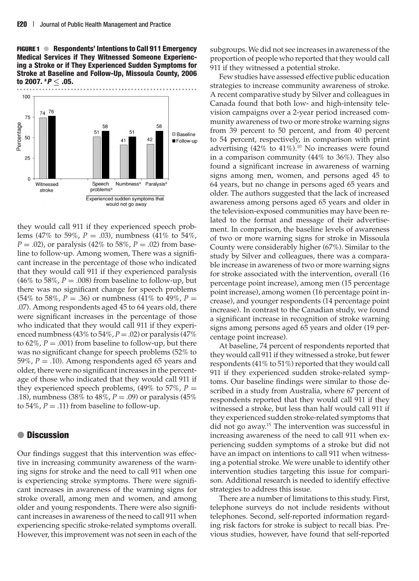**FIGURE 1** ● **Respondents' Intentions to Call 911 Emergency Medical Services if They Witnessed Someone Experiencing a Stroke or if They Experienced Sudden Symptoms for Stroke at Baseline and Follow-Up, Missoula County, 2006 to 2007. <sup>a</sup>**



they would call 911 if they experienced speech problems (47% to 59%, *P* = .03), numbness (41% to 54%, *P* = .02), or paralysis (42% to 58%, *P* = .02) from baseline to follow-up. Among women, There was a significant increase in the percentage of those who indicated that they would call 911 if they experienced paralysis (46% to 58%,  $P = .008$ ) from baseline to follow-up, but there was no significant change for speech problems (54% to 58%,  $P = .36$ ) or numbness (41% to 49%,  $P =$ .07). Among respondents aged 45 to 64 years old, there were significant increases in the percentage of those who indicated that they would call 911 if they experienced numbness (43% to  $54\%$ ,  $P = .02$ ) or paralysis (47%) to  $62\%$ ,  $P = .001$ ) from baseline to follow-up, but there was no significant change for speech problems (52% to 59%,  $P = .10$ ). Among respondents aged 65 years and older, there were no significant increases in the percentage of those who indicated that they would call 911 if they experienced speech problems,  $(49\% \text{ to } 57\%, P =$ .18), numbness (38% to 48%, *P* = .09) or paralysis (45% to 54%,  $P = .11$ ) from baseline to follow-up.

# ● **Discussion**

Our findings suggest that this intervention was effective in increasing community awareness of the warning signs for stroke and the need to call 911 when one is experiencing stroke symptoms. There were significant increases in awareness of the warning signs for stroke overall, among men and women, and among older and young respondents. There were also significant increases in awareness of the need to call 911 when experiencing specific stroke-related symptoms overall. However, this improvement was not seen in each of the

subgroups. We did not see increases in awareness of the proportion of people who reported that they would call 911 if they witnessed a potential stroke.

Few studies have assessed effective public education strategies to increase community awareness of stroke. A recent comparative study by Silver and colleagues in Canada found that both low- and high-intensity television campaigns over a 2-year period increased community awareness of two or more stroke warning signs from 39 percent to 50 percent, and from 40 percent to 54 percent, respectively, in comparison with print advertising  $(42\% \text{ to } 41\%).$ <sup>10</sup> No increases were found in a comparison community (44% to 36%). They also found a significant increase in awareness of warning signs among men, women, and persons aged 45 to 64 years, but no change in persons aged 65 years and older. The authors suggested that the lack of increased awareness among persons aged 65 years and older in the television-exposed communities may have been related to the format and message of their advertisement. In comparison, the baseline levels of awareness of two or more warning signs for stroke in Missoula County were considerably higher (67%). Similar to the study by Silver and colleagues, there was a comparable increase in awareness of two or more warning signs for stroke associated with the intervention, overall (16 percentage point increase), among men (15 percentage point increase), among women (16 percentage point increase), and younger respondents (14 percentage point increase). In contrast to the Canadian study, we found a significant increase in recognition of stroke warning signs among persons aged 65 years and older (19 percentage point increase).

At baseline, 74 percent of respondents reported that they would call 911 if they witnessed a stroke, but fewer respondents (41% to 51%) reported that they would call 911 if they experienced sudden stroke-related symptoms. Our baseline findings were similar to those described in a study from Australia, where 67 percent of respondents reported that they would call 911 if they witnessed a stroke, but less than half would call 911 if they experienced sudden stroke-related symptoms that did not go away.15 The intervention was successful in increasing awareness of the need to call 911 when experiencing sudden symptoms of a stroke but did not have an impact on intentions to call 911 when witnessing a potential stroke. We were unable to identify other intervention studies targeting this issue for comparison. Additional research is needed to identify effective strategies to address this issue.

There are a number of limitations to this study. First, telephone surveys do not include residents without telephones. Second, self-reported information regarding risk factors for stroke is subject to recall bias. Previous studies, however, have found that self-reported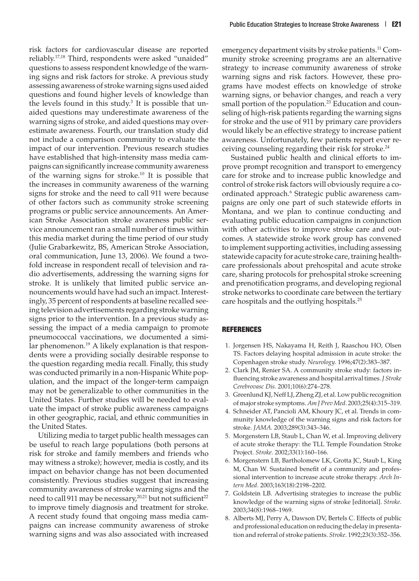risk factors for cardiovascular disease are reported reliably.17,18 Third, respondents were asked "unaided" questions to assess respondent knowledge of the warning signs and risk factors for stroke. A previous study assessing awareness of stroke warning signs used aided questions and found higher levels of knowledge than the levels found in this study.<sup>3</sup> It is possible that unaided questions may underestimate awareness of the warning signs of stroke, and aided questions may overestimate awareness. Fourth, our translation study did not include a comparison community to evaluate the impact of our intervention. Previous research studies have established that high-intensity mass media campaigns can significantly increase community awareness of the warning signs for stroke.10 It is possible that the increases in community awareness of the warning signs for stroke and the need to call 911 were because of other factors such as community stroke screening programs or public service announcements. An American Stroke Association stroke awareness public service announcement ran a small number of times within this media market during the time period of our study (Julie Grabarkewitz, BS, American Stroke Association, oral communication, June 13, 2006). We found a twofold increase in respondent recall of television and radio advertisements, addressing the warning signs for stroke. It is unlikely that limited public service announcements would have had such an impact. Interestingly, 35 percent of respondents at baseline recalled seeing television advertisements regarding stroke warning signs prior to the intervention. In a previous study assessing the impact of a media campaign to promote pneumococcal vaccinations, we documented a similar phenomenon.<sup>19</sup> A likely explanation is that respondents were a providing socially desirable response to the question regarding media recall. Finally, this study was conducted primarily in a non-Hispanic White population, and the impact of the longer-term campaign may not be generalizable to other communities in the United States. Further studies will be needed to evaluate the impact of stroke public awareness campaigns in other geographic, racial, and ethnic communities in the United States.

Utilizing media to target public health messages can be useful to reach large populations (both persons at risk for stroke and family members and friends who may witness a stroke); however, media is costly, and its impact on behavior change has not been documented consistently. Previous studies suggest that increasing community awareness of stroke warning signs and the need to call 911 may be necessary,<sup>20,21</sup> but not sufficient<sup>22</sup> to improve timely diagnosis and treatment for stroke. A recent study found that ongoing mass media campaigns can increase community awareness of stroke warning signs and was also associated with increased emergency department visits by stroke patients.<sup>11</sup> Community stroke screening programs are an alternative strategy to increase community awareness of stroke warning signs and risk factors. However, these programs have modest effects on knowledge of stroke warning signs, or behavior changes, and reach a very small portion of the population.<sup>23</sup> Education and counseling of high-risk patients regarding the warning signs for stroke and the use of 911 by primary care providers would likely be an effective strategy to increase patient awareness. Unfortunately, few patients report ever receiving counseling regarding their risk for stroke.<sup>24</sup>

Sustained public health and clinical efforts to improve prompt recognition and transport to emergency care for stroke and to increase public knowledge and control of stroke risk factors will obviously require a coordinated approach.<sup>6</sup> Strategic public awareness campaigns are only one part of such statewide efforts in Montana, and we plan to continue conducting and evaluating public education campaigns in conjunction with other activities to improve stroke care and outcomes. A statewide stroke work group has convened to implement supporting activities, including assessing statewide capacity for acute stroke care, training healthcare professionals about prehospital and acute stroke care, sharing protocols for prehospital stroke screening and prenotification programs, and developing regional stroke networks to coordinate care between the tertiary care hospitals and the outlying hospitals.25

#### **REFERENCES**

- 1. Jorgensen HS, Nakayama H, Reith J, Raaschou HO, Olsen TS. Factors delaying hospital admission in acute stroke: the Copenhagen stroke study. *Neurology.* 1996;47(2):383–387.
- 2. Clark JM, Renier SA. A community stroke study: factors influencing stroke awareness and hospital arrival times.*J Stroke Cerebrovasc Dis.* 2001;10(6):274–278.
- 3. Greenlund KJ, Neff LJ, Zheng ZJ, et al. Low public recognition of major stroke symptoms. *Am J Prev Med.* 2003;25(4):315–319.
- 4. Schneider AT, Pancioli AM, Khoury JC, et al. Trends in community knowledge of the warning signs and risk factors for stroke. *JAMA.* 2003;289(3):343–346.
- 5. Morgenstern LB, Staub L, Chan W, et al. Improving delivery of acute stroke therapy: the TLL Temple Foundation Stroke Project. *Stroke.* 2002;33(1):160–166.
- 6. Morgenstern LB, Bartholomew LK, Grotta JC, Staub L, King M, Chan W. Sustained benefit of a community and professional intervention to increase acute stroke therapy. *Arch Intern Med.* 2003;163(18):2198–2202.
- 7. Goldstein LB. Advertising strategies to increase the public knowledge of the warning signs of stroke [editorial]. *Stroke*. 2003;34(8):1968–1969.
- 8. Alberts MJ, Perry A, Dawson DV, Bertels C. Effects of public and professional education on reducing the delay in presentation and referral of stroke patients. *Stroke*. 1992;23(3):352–356.